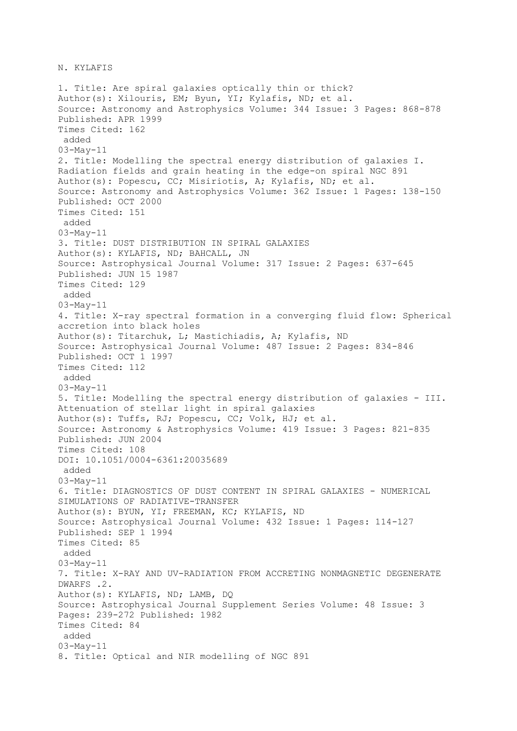N. KYLAFIS

1. Title: Are spiral galaxies optically thin or thick? Author(s): Xilouris, EM; Byun, YI; Kylafis, ND; et al. Source: Astronomy and Astrophysics Volume: 344 Issue: 3 Pages: 868-878 Published: APR 1999 Times Cited: 162 added 03-May-11 2. Title: Modelling the spectral energy distribution of galaxies I. Radiation fields and grain heating in the edge-on spiral NGC 891 Author(s): Popescu, CC; Misiriotis, A; Kylafis, ND; et al. Source: Astronomy and Astrophysics Volume: 362 Issue: 1 Pages: 138-150 Published: OCT 2000 Times Cited: 151 added 03-May-11 3. Title: DUST DISTRIBUTION IN SPIRAL GALAXIES Author(s): KYLAFIS, ND; BAHCALL, JN Source: Astrophysical Journal Volume: 317 Issue: 2 Pages: 637-645 Published: JUN 15 1987 Times Cited: 129 added 03-May-11 4. Title: X-ray spectral formation in a converging fluid flow: Spherical accretion into black holes Author(s): Titarchuk, L; Mastichiadis, A; Kylafis, ND Source: Astrophysical Journal Volume: 487 Issue: 2 Pages: 834-846 Published: OCT 1 1997 Times Cited: 112 added 03-May-11 5. Title: Modelling the spectral energy distribution of galaxies - III. Attenuation of stellar light in spiral galaxies Author(s): Tuffs, RJ; Popescu, CC; Volk, HJ; et al. Source: Astronomy & Astrophysics Volume: 419 Issue: 3 Pages: 821-835 Published: JUN 2004 Times Cited: 108 DOI: 10.1051/0004-6361:20035689 added 03-May-11 6. Title: DIAGNOSTICS OF DUST CONTENT IN SPIRAL GALAXIES - NUMERICAL SIMULATIONS OF RADIATIVE-TRANSFER Author(s): BYUN, YI; FREEMAN, KC; KYLAFIS, ND Source: Astrophysical Journal Volume: 432 Issue: 1 Pages: 114-127 Published: SEP 1 1994 Times Cited: 85 added 03-May-11 7. Title: X-RAY AND UV-RADIATION FROM ACCRETING NONMAGNETIC DEGENERATE DWARFS .2. Author(s): KYLAFIS, ND; LAMB, DQ Source: Astrophysical Journal Supplement Series Volume: 48 Issue: 3 Pages: 239-272 Published: 1982 Times Cited: 84 added 03-May-11 8. Title: Optical and NIR modelling of NGC 891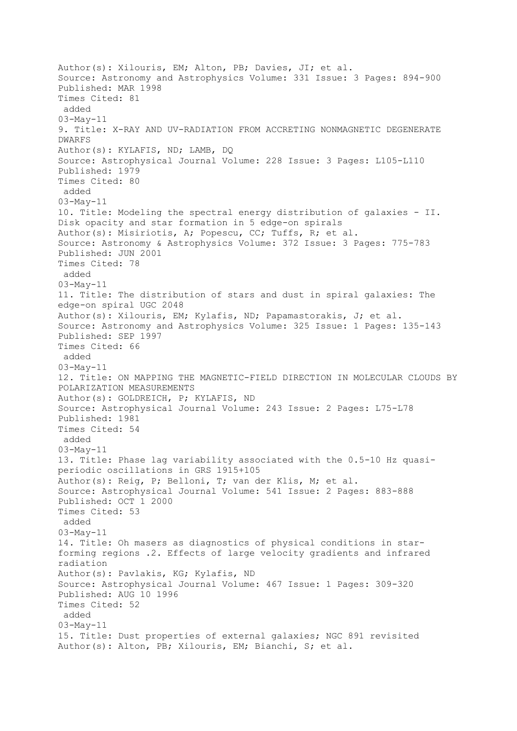```
Author(s): Xilouris, EM; Alton, PB; Davies, JI; et al.
Source: Astronomy and Astrophysics Volume: 331 Issue: 3 Pages: 894-900 
Published: MAR 1998 
Times Cited: 81 
added
03-May-11 
9. Title: X-RAY AND UV-RADIATION FROM ACCRETING NONMAGNETIC DEGENERATE 
DWARFS
Author(s): KYLAFIS, ND; LAMB, DQ
Source: Astrophysical Journal Volume: 228 Issue: 3 Pages: L105-L110 
Published: 1979 
Times Cited: 80 
added
03-May-11 
10. Title: Modeling the spectral energy distribution of galaxies - II. 
Disk opacity and star formation in 5 edge-on spirals
Author(s): Misiriotis, A; Popescu, CC; Tuffs, R; et al.
Source: Astronomy & Astrophysics Volume: 372 Issue: 3 Pages: 775-783 
Published: JUN 2001 
Times Cited: 78 
added
03-May-11 
11. Title: The distribution of stars and dust in spiral galaxies: The 
edge-on spiral UGC 2048
Author(s): Xilouris, EM; Kylafis, ND; Papamastorakis, J; et al.
Source: Astronomy and Astrophysics Volume: 325 Issue: 1 Pages: 135-143 
Published: SEP 1997 
Times Cited: 66 
added
03-May-11 
12. Title: ON MAPPING THE MAGNETIC-FIELD DIRECTION IN MOLECULAR CLOUDS BY 
POLARIZATION MEASUREMENTS
Author(s): GOLDREICH, P; KYLAFIS, ND
Source: Astrophysical Journal Volume: 243 Issue: 2 Pages: L75-L78 
Published: 1981 
Times Cited: 54 
added
03-May-11 
13. Title: Phase lag variability associated with the 0.5-10 Hz quasi-
periodic oscillations in GRS 1915+105
Author(s): Reig, P; Belloni, T; van der Klis, M; et al.
Source: Astrophysical Journal Volume: 541 Issue: 2 Pages: 883-888 
Published: OCT 1 2000 
Times Cited: 53 
added
03-May-11 
14. Title: Oh masers as diagnostics of physical conditions in star-
forming regions .2. Effects of large velocity gradients and infrared 
radiation
Author(s): Pavlakis, KG; Kylafis, ND
Source: Astrophysical Journal Volume: 467 Issue: 1 Pages: 309-320 
Published: AUG 10 1996 
Times Cited: 52 
added
03-May-11 
15. Title: Dust properties of external galaxies; NGC 891 revisited
Author(s): Alton, PB; Xilouris, EM; Bianchi, S; et al.
```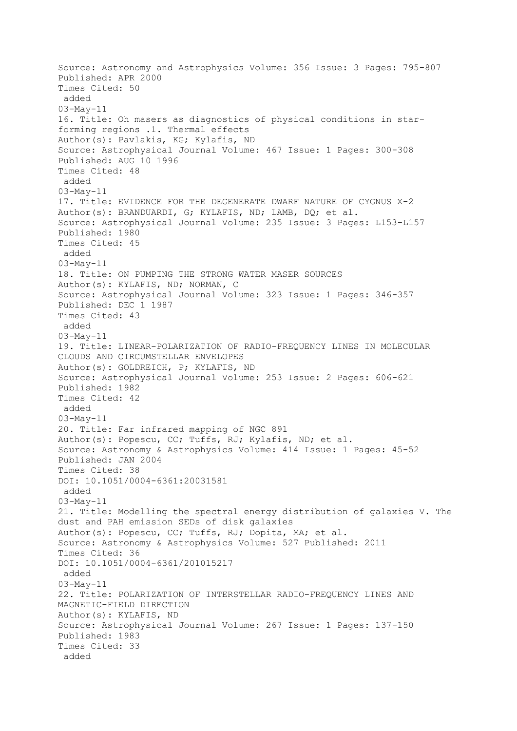```
Source: Astronomy and Astrophysics Volume: 356 Issue: 3 Pages: 795-807 
Published: APR 2000 
Times Cited: 50 
added
03-May-11 
16. Title: Oh masers as diagnostics of physical conditions in star-
forming regions .1. Thermal effects
Author(s): Pavlakis, KG; Kylafis, ND
Source: Astrophysical Journal Volume: 467 Issue: 1 Pages: 300-308 
Published: AUG 10 1996 
Times Cited: 48 
added
03-May-11 
17. Title: EVIDENCE FOR THE DEGENERATE DWARF NATURE OF CYGNUS X-2
Author(s): BRANDUARDI, G; KYLAFIS, ND; LAMB, DQ; et al.
Source: Astrophysical Journal Volume: 235 Issue: 3 Pages: L153-L157 
Published: 1980 
Times Cited: 45 
added
03-May-11 
18. Title: ON PUMPING THE STRONG WATER MASER SOURCES
Author(s): KYLAFIS, ND; NORMAN, C
Source: Astrophysical Journal Volume: 323 Issue: 1 Pages: 346-357 
Published: DEC 1 1987 
Times Cited: 43 
added
03-May-11 
19. Title: LINEAR-POLARIZATION OF RADIO-FREQUENCY LINES IN MOLECULAR 
CLOUDS AND CIRCUMSTELLAR ENVELOPES
Author(s): GOLDREICH, P; KYLAFIS, ND
Source: Astrophysical Journal Volume: 253 Issue: 2 Pages: 606-621 
Published: 1982 
Times Cited: 42 
added
03-May-11 
20. Title: Far infrared mapping of NGC 891
Author(s): Popescu, CC; Tuffs, RJ; Kylafis, ND; et al.
Source: Astronomy & Astrophysics Volume: 414 Issue: 1 Pages: 45-52 
Published: JAN 2004 
Times Cited: 38 
DOI: 10.1051/0004-6361:20031581 
added
03-May-11 
21. Title: Modelling the spectral energy distribution of galaxies V. The 
dust and PAH emission SEDs of disk galaxies
Author(s): Popescu, CC; Tuffs, RJ; Dopita, MA; et al.
Source: Astronomy & Astrophysics Volume: 527 Published: 2011 
Times Cited: 36 
DOI: 10.1051/0004-6361/201015217 
added
03-May-11 
22. Title: POLARIZATION OF INTERSTELLAR RADIO-FREQUENCY LINES AND 
MAGNETIC-FIELD DIRECTION
Author(s): KYLAFIS, ND
Source: Astrophysical Journal Volume: 267 Issue: 1 Pages: 137-150 
Published: 1983 
Times Cited: 33 
added
```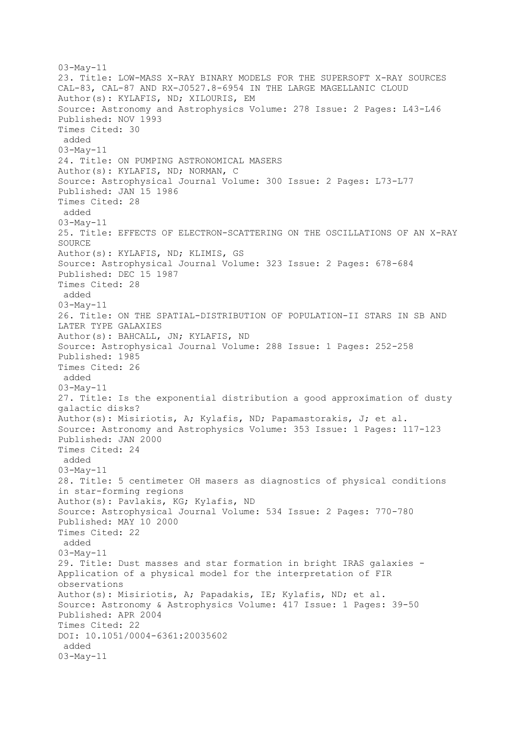```
03-May-11 
23. Title: LOW-MASS X-RAY BINARY MODELS FOR THE SUPERSOFT X-RAY SOURCES 
CAL-83, CAL-87 AND RX-J0527.8-6954 IN THE LARGE MAGELLANIC CLOUD
Author(s): KYLAFIS, ND; XILOURIS, EM
Source: Astronomy and Astrophysics Volume: 278 Issue: 2 Pages: L43-L46 
Published: NOV 1993 
Times Cited: 30 
added
03-May-11 
24. Title: ON PUMPING ASTRONOMICAL MASERS
Author(s): KYLAFIS, ND; NORMAN, C
Source: Astrophysical Journal Volume: 300 Issue: 2 Pages: L73-L77 
Published: JAN 15 1986 
Times Cited: 28 
added
03-May-11 
25. Title: EFFECTS OF ELECTRON-SCATTERING ON THE OSCILLATIONS OF AN X-RAY 
SOURCE
Author(s): KYLAFIS, ND; KLIMIS, GS
Source: Astrophysical Journal Volume: 323 Issue: 2 Pages: 678-684 
Published: DEC 15 1987 
Times Cited: 28 
added
03-May-11 
26. Title: ON THE SPATIAL-DISTRIBUTION OF POPULATION-II STARS IN SB AND 
LATER TYPE GALAXIES
Author(s): BAHCALL, JN; KYLAFIS, ND
Source: Astrophysical Journal Volume: 288 Issue: 1 Pages: 252-258 
Published: 1985 
Times Cited: 26 
added
03-May-11 
27. Title: Is the exponential distribution a good approximation of dusty 
galactic disks?
Author(s): Misiriotis, A; Kylafis, ND; Papamastorakis, J; et al.
Source: Astronomy and Astrophysics Volume: 353 Issue: 1 Pages: 117-123 
Published: JAN 2000 
Times Cited: 24 
added
03-May-11 
28. Title: 5 centimeter OH masers as diagnostics of physical conditions 
in star-forming regions
Author(s): Pavlakis, KG; Kylafis, ND
Source: Astrophysical Journal Volume: 534 Issue: 2 Pages: 770-780 
Published: MAY 10 2000 
Times Cited: 22 
added
03-May-11 
29. Title: Dust masses and star formation in bright IRAS galaxies -
Application of a physical model for the interpretation of FIR 
observations
Author(s): Misiriotis, A; Papadakis, IE; Kylafis, ND; et al.
Source: Astronomy & Astrophysics Volume: 417 Issue: 1 Pages: 39-50 
Published: APR 2004 
Times Cited: 22 
DOI: 10.1051/0004-6361:20035602 
added
03-May-11
```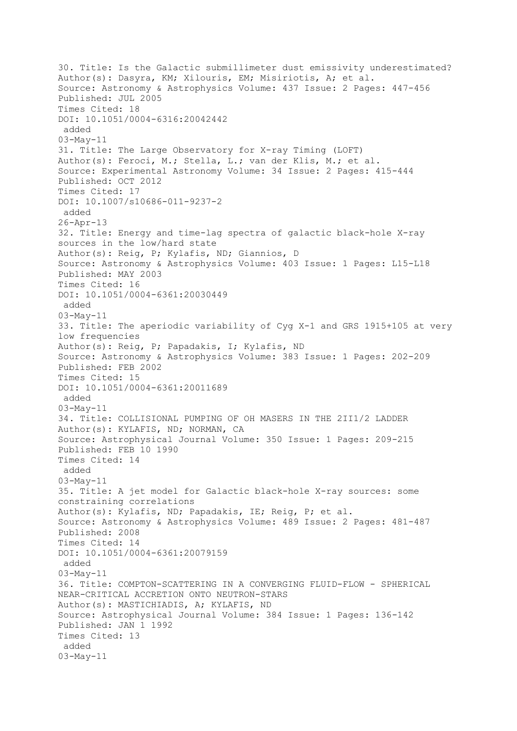30. Title: Is the Galactic submillimeter dust emissivity underestimated? Author(s): Dasyra, KM; Xilouris, EM; Misiriotis, A; et al. Source: Astronomy & Astrophysics Volume: 437 Issue: 2 Pages: 447-456 Published: JUL 2005 Times Cited: 18 DOI: 10.1051/0004-6316:20042442 added 03-May-11 31. Title: The Large Observatory for X-ray Timing (LOFT) Author(s): Feroci, M.; Stella, L.; van der Klis, M.; et al. Source: Experimental Astronomy Volume: 34 Issue: 2 Pages: 415-444 Published: OCT 2012 Times Cited: 17 DOI: 10.1007/s10686-011-9237-2 added 26-Apr-13 32. Title: Energy and time-lag spectra of galactic black-hole X-ray sources in the low/hard state Author(s): Reig, P; Kylafis, ND; Giannios, D Source: Astronomy & Astrophysics Volume: 403 Issue: 1 Pages: L15-L18 Published: MAY 2003 Times Cited: 16 DOI: 10.1051/0004-6361:20030449 added 03-May-11 33. Title: The aperiodic variability of Cyg X-1 and GRS 1915+105 at very low frequencies Author(s): Reig, P; Papadakis, I; Kylafis, ND Source: Astronomy & Astrophysics Volume: 383 Issue: 1 Pages: 202-209 Published: FEB 2002 Times Cited: 15 DOI: 10.1051/0004-6361:20011689 added 03-May-11 34. Title: COLLISIONAL PUMPING OF OH MASERS IN THE 2II1/2 LADDER Author(s): KYLAFIS, ND; NORMAN, CA Source: Astrophysical Journal Volume: 350 Issue: 1 Pages: 209-215 Published: FEB 10 1990 Times Cited: 14 added 03-May-11 35. Title: A jet model for Galactic black-hole X-ray sources: some constraining correlations Author(s): Kylafis, ND; Papadakis, IE; Reig, P; et al. Source: Astronomy & Astrophysics Volume: 489 Issue: 2 Pages: 481-487 Published: 2008 Times Cited: 14 DOI: 10.1051/0004-6361:20079159 added 03-May-11 36. Title: COMPTON-SCATTERING IN A CONVERGING FLUID-FLOW - SPHERICAL NEAR-CRITICAL ACCRETION ONTO NEUTRON-STARS Author(s): MASTICHIADIS, A; KYLAFIS, ND Source: Astrophysical Journal Volume: 384 Issue: 1 Pages: 136-142 Published: JAN 1 1992 Times Cited: 13 added 03-May-11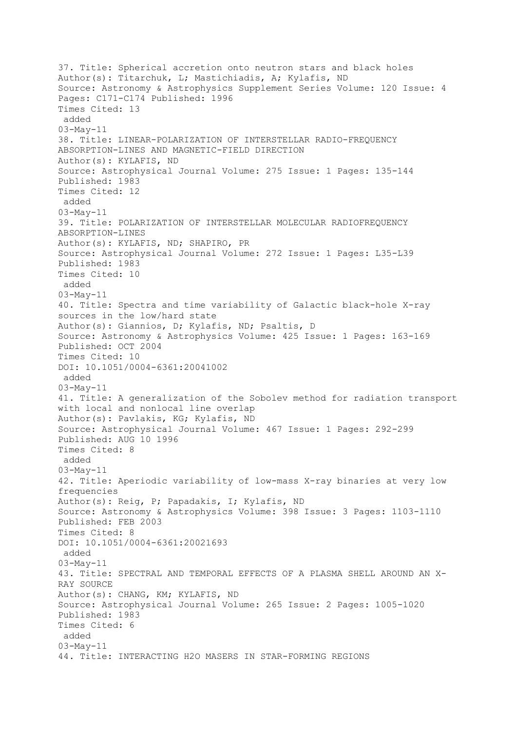37. Title: Spherical accretion onto neutron stars and black holes Author(s): Titarchuk, L; Mastichiadis, A; Kylafis, ND Source: Astronomy & Astrophysics Supplement Series Volume: 120 Issue: 4 Pages: C171-C174 Published: 1996 Times Cited: 13 added 03-May-11 38. Title: LINEAR-POLARIZATION OF INTERSTELLAR RADIO-FREQUENCY ABSORPTION-LINES AND MAGNETIC-FIELD DIRECTION Author(s): KYLAFIS, ND Source: Astrophysical Journal Volume: 275 Issue: 1 Pages: 135-144 Published: 1983 Times Cited: 12 added 03-May-11 39. Title: POLARIZATION OF INTERSTELLAR MOLECULAR RADIOFREQUENCY ABSORPTION-LINES Author(s): KYLAFIS, ND; SHAPIRO, PR Source: Astrophysical Journal Volume: 272 Issue: 1 Pages: L35-L39 Published: 1983 Times Cited: 10 added 03-May-11 40. Title: Spectra and time variability of Galactic black-hole X-ray sources in the low/hard state Author(s): Giannios, D; Kylafis, ND; Psaltis, D Source: Astronomy & Astrophysics Volume: 425 Issue: 1 Pages: 163-169 Published: OCT 2004 Times Cited: 10 DOI: 10.1051/0004-6361:20041002 added 03-May-11 41. Title: A generalization of the Sobolev method for radiation transport with local and nonlocal line overlap Author(s): Pavlakis, KG; Kylafis, ND Source: Astrophysical Journal Volume: 467 Issue: 1 Pages: 292-299 Published: AUG 10 1996 Times Cited: 8 added 03-May-11 42. Title: Aperiodic variability of low-mass X-ray binaries at very low frequencies Author(s): Reig, P; Papadakis, I; Kylafis, ND Source: Astronomy & Astrophysics Volume: 398 Issue: 3 Pages: 1103-1110 Published: FEB 2003 Times Cited: 8 DOI: 10.1051/0004-6361:20021693 added 03-May-11 43. Title: SPECTRAL AND TEMPORAL EFFECTS OF A PLASMA SHELL AROUND AN X-RAY SOURCE Author(s): CHANG, KM; KYLAFIS, ND Source: Astrophysical Journal Volume: 265 Issue: 2 Pages: 1005-1020 Published: 1983 Times Cited: 6 added 03-May-11 44. Title: INTERACTING H2O MASERS IN STAR-FORMING REGIONS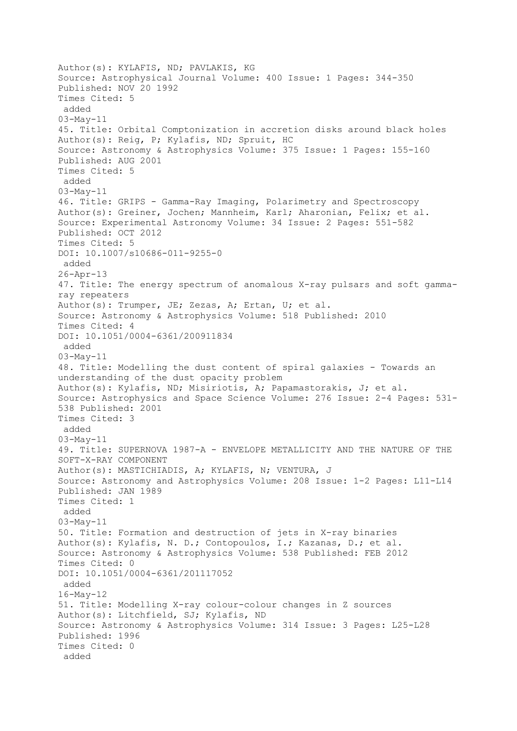Author(s): KYLAFIS, ND; PAVLAKIS, KG Source: Astrophysical Journal Volume: 400 Issue: 1 Pages: 344-350 Published: NOV 20 1992 Times Cited: 5 added 03-May-11 45. Title: Orbital Comptonization in accretion disks around black holes Author(s): Reig, P; Kylafis, ND; Spruit, HC Source: Astronomy & Astrophysics Volume: 375 Issue: 1 Pages: 155-160 Published: AUG 2001 Times Cited: 5 added 03-May-11 46. Title: GRIPS - Gamma-Ray Imaging, Polarimetry and Spectroscopy Author(s): Greiner, Jochen; Mannheim, Karl; Aharonian, Felix; et al. Source: Experimental Astronomy Volume: 34 Issue: 2 Pages: 551-582 Published: OCT 2012 Times Cited: 5 DOI: 10.1007/s10686-011-9255-0 added 26-Apr-13 47. Title: The energy spectrum of anomalous X-ray pulsars and soft gammaray repeaters Author(s): Trumper, JE; Zezas, A; Ertan, U; et al. Source: Astronomy & Astrophysics Volume: 518 Published: 2010 Times Cited: 4 DOI: 10.1051/0004-6361/200911834 added 03-May-11 48. Title: Modelling the dust content of spiral galaxies - Towards an understanding of the dust opacity problem Author(s): Kylafis, ND; Misiriotis, A; Papamastorakis, J; et al. Source: Astrophysics and Space Science Volume: 276 Issue: 2-4 Pages: 531- 538 Published: 2001 Times Cited: 3 added 03-May-11 49. Title: SUPERNOVA 1987-A - ENVELOPE METALLICITY AND THE NATURE OF THE SOFT-X-RAY COMPONENT Author(s): MASTICHIADIS, A; KYLAFIS, N; VENTURA, J Source: Astronomy and Astrophysics Volume: 208 Issue: 1-2 Pages: L11-L14 Published: JAN 1989 Times Cited: 1 added 03-May-11 50. Title: Formation and destruction of jets in X-ray binaries Author(s): Kylafis, N. D.; Contopoulos, I.; Kazanas, D.; et al. Source: Astronomy & Astrophysics Volume: 538 Published: FEB 2012 Times Cited: 0 DOI: 10.1051/0004-6361/201117052 added 16-May-12 51. Title: Modelling X-ray colour-colour changes in Z sources Author(s): Litchfield, SJ; Kylafis, ND Source: Astronomy & Astrophysics Volume: 314 Issue: 3 Pages: L25-L28 Published: 1996 Times Cited: 0 added